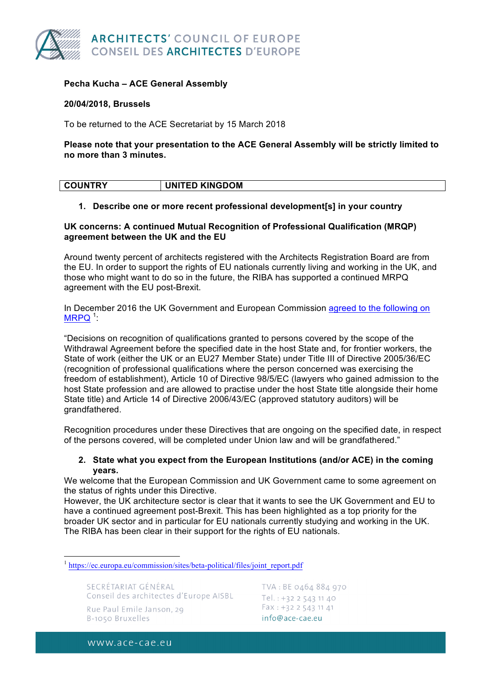

# **Pecha Kucha – ACE General Assembly**

#### **20/04/2018, Brussels**

To be returned to the ACE Secretariat by 15 March 2018

**Please note that your presentation to the ACE General Assembly will be strictly limited to no more than 3 minutes.** 

| <b>COUNTRY</b> | <b>UNITED KINGDOM</b> |
|----------------|-----------------------|
|                |                       |

# **1. Describe one or more recent professional development[s] in your country**

# **UK concerns: A continued Mutual Recognition of Professional Qualification (MRQP) agreement between the UK and the EU**

Around twenty percent of architects registered with the Architects Registration Board are from the EU. In order to support the rights of EU nationals currently living and working in the UK, and those who might want to do so in the future, the RIBA has supported a continued MRPQ agreement with the EU post-Brexit.

In December 2016 the UK Government and European Commission agreed to the following on  $MRPQ$ <sup>1</sup>:

"Decisions on recognition of qualifications granted to persons covered by the scope of the Withdrawal Agreement before the specified date in the host State and, for frontier workers, the State of work (either the UK or an EU27 Member State) under Title III of Directive 2005/36/EC (recognition of professional qualifications where the person concerned was exercising the freedom of establishment), Article 10 of Directive 98/5/EC (lawyers who gained admission to the host State profession and are allowed to practise under the host State title alongside their home State title) and Article 14 of Directive 2006/43/EC (approved statutory auditors) will be grandfathered.

Recognition procedures under these Directives that are ongoing on the specified date, in respect of the persons covered, will be completed under Union law and will be grandfathered."

# **2. State what you expect from the European Institutions (and/or ACE) in the coming years.**

We welcome that the European Commission and UK Government came to some agreement on the status of rights under this Directive.

However, the UK architecture sector is clear that it wants to see the UK Government and EU to have a continued agreement post-Brexit. This has been highlighted as a top priority for the broader UK sector and in particular for EU nationals currently studying and working in the UK. The RIBA has been clear in their support for the rights of EU nationals.

SECRÉTARIAT GÉNÉRAL Conseil des architectes d'Europe AISBL Rue Paul Emile Janson, 29 B-1050 Bruxelles

TVA: BE 0464 884 970 Tel.:  $+32$  2 543 11 40 Fax: +32 2 543 11 41 info@ace-cae.eu

www.ace-cae.eu

<sup>&</sup>lt;sup>1</sup> https://ec.europa.eu/commission/sites/beta-political/files/joint\_report.pdf